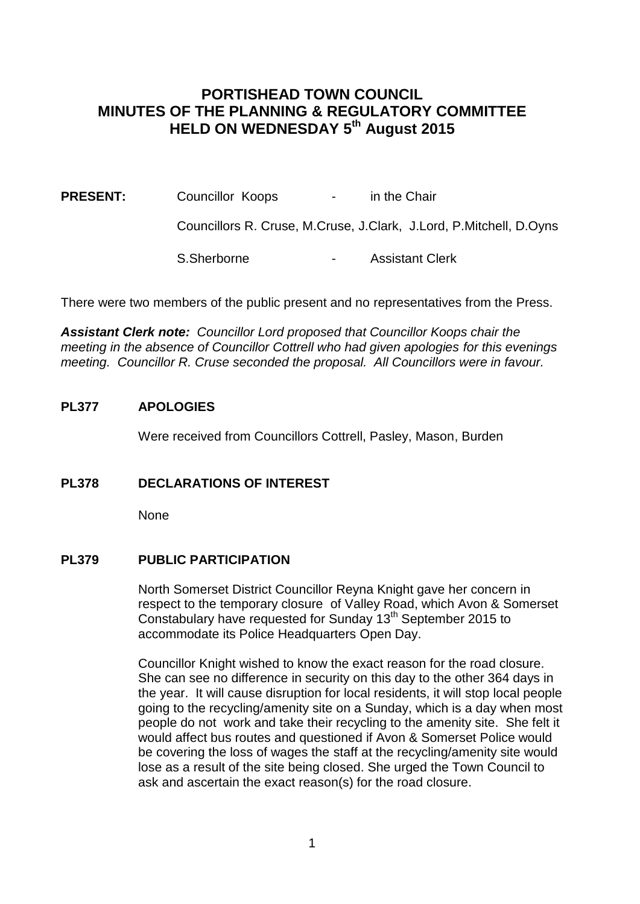# **PORTISHEAD TOWN COUNCIL MINUTES OF THE PLANNING & REGULATORY COMMITTEE HELD ON WEDNESDAY 5th August 2015**

**PRESENT:** Councillor Koops - in the Chair

Councillors R. Cruse, M.Cruse, J.Clark, J.Lord, P.Mitchell, D.Oyns

S.Sherborne - Assistant Clerk

There were two members of the public present and no representatives from the Press.

*Assistant Clerk note: Councillor Lord proposed that Councillor Koops chair the meeting in the absence of Councillor Cottrell who had given apologies for this evenings meeting. Councillor R. Cruse seconded the proposal. All Councillors were in favour.*

#### **PL377 APOLOGIES**

Were received from Councillors Cottrell, Pasley, Mason, Burden

## **PL378 DECLARATIONS OF INTEREST**

None

#### **PL379 PUBLIC PARTICIPATION**

North Somerset District Councillor Reyna Knight gave her concern in respect to the temporary closure of Valley Road, which Avon & Somerset Constabulary have requested for Sunday 13<sup>th</sup> September 2015 to accommodate its Police Headquarters Open Day.

Councillor Knight wished to know the exact reason for the road closure. She can see no difference in security on this day to the other 364 days in the year. It will cause disruption for local residents, it will stop local people going to the recycling/amenity site on a Sunday, which is a day when most people do not work and take their recycling to the amenity site. She felt it would affect bus routes and questioned if Avon & Somerset Police would be covering the loss of wages the staff at the recycling/amenity site would lose as a result of the site being closed. She urged the Town Council to ask and ascertain the exact reason(s) for the road closure.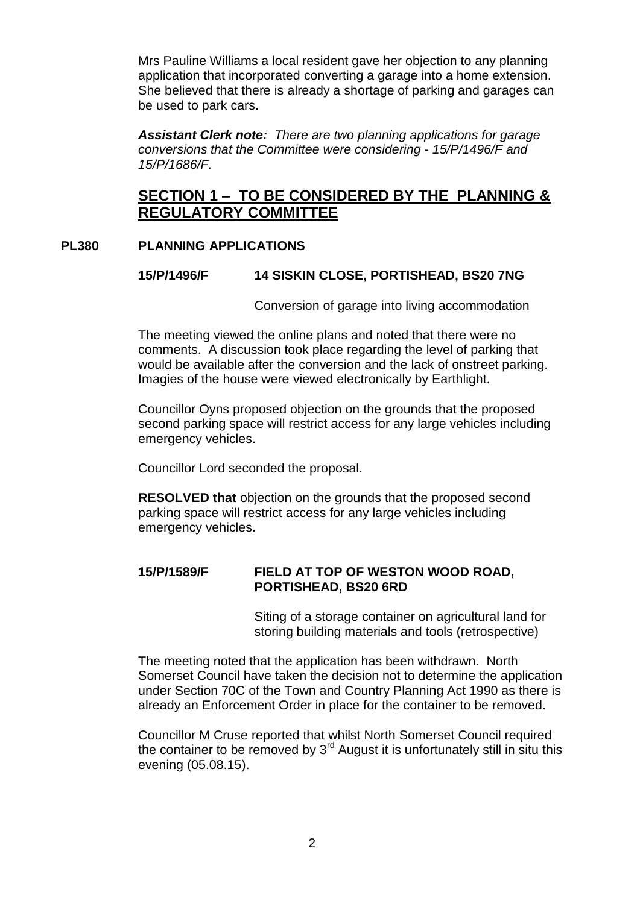Mrs Pauline Williams a local resident gave her objection to any planning application that incorporated converting a garage into a home extension. She believed that there is already a shortage of parking and garages can be used to park cars.

*Assistant Clerk note: There are two planning applications for garage conversions that the Committee were considering - 15/P/1496/F and 15/P/1686/F.*

# **SECTION 1 – TO BE CONSIDERED BY THE PLANNING & REGULATORY COMMITTEE**

# **PL380 PLANNING APPLICATIONS**

## **15/P/1496/F 14 SISKIN CLOSE, PORTISHEAD, BS20 7NG**

Conversion of garage into living accommodation

The meeting viewed the online plans and noted that there were no comments. A discussion took place regarding the level of parking that would be available after the conversion and the lack of onstreet parking. Imagies of the house were viewed electronically by Earthlight.

Councillor Oyns proposed objection on the grounds that the proposed second parking space will restrict access for any large vehicles including emergency vehicles.

Councillor Lord seconded the proposal.

**RESOLVED that** objection on the grounds that the proposed second parking space will restrict access for any large vehicles including emergency vehicles.

# **15/P/1589/F FIELD AT TOP OF WESTON WOOD ROAD, PORTISHEAD, BS20 6RD**

Siting of a storage container on agricultural land for storing building materials and tools (retrospective)

The meeting noted that the application has been withdrawn. North Somerset Council have taken the decision not to determine the application under Section 70C of the Town and Country Planning Act 1990 as there is already an Enforcement Order in place for the container to be removed.

Councillor M Cruse reported that whilst North Somerset Council required the container to be removed by  $3<sup>rd</sup>$  August it is unfortunately still in situ this evening (05.08.15).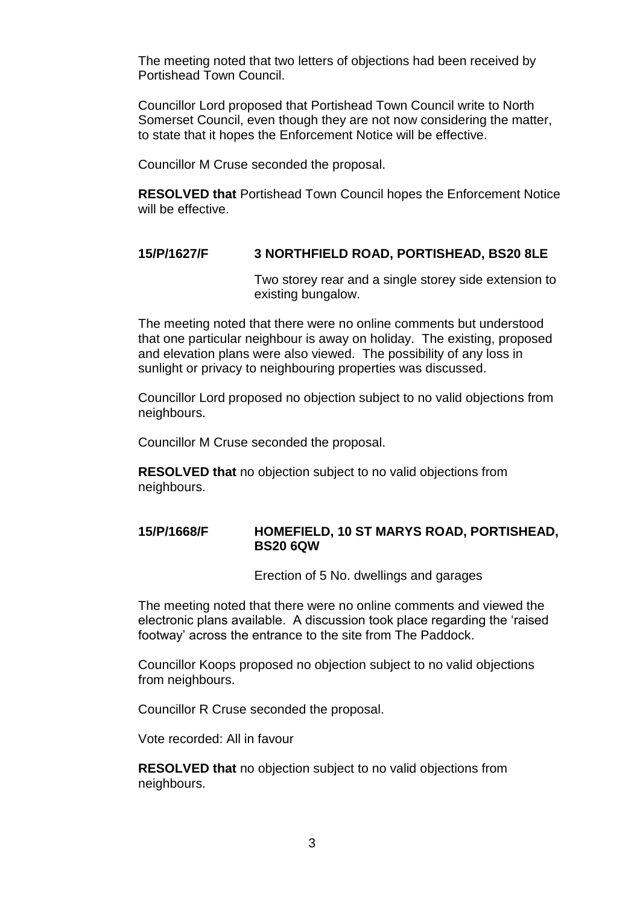The meeting noted that two letters of objections had been received by Portishead Town Council.

Councillor Lord proposed that Portishead Town Council write to North Somerset Council, even though they are not now considering the matter, to state that it hopes the Enforcement Notice will be effective.

Councillor M Cruse seconded the proposal.

**RESOLVED that** Portishead Town Council hopes the Enforcement Notice will be effective.

#### **15/P/1627/F 3 NORTHFIELD ROAD, PORTISHEAD, BS20 8LE**

Two storey rear and a single storey side extension to existing bungalow.

The meeting noted that there were no online comments but understood that one particular neighbour is away on holiday. The existing, proposed and elevation plans were also viewed. The possibility of any loss in sunlight or privacy to neighbouring properties was discussed.

Councillor Lord proposed no objection subject to no valid objections from neighbours.

Councillor M Cruse seconded the proposal.

**RESOLVED that** no objection subject to no valid objections from neighbours.

#### **15/P/1668/F HOMEFIELD, 10 ST MARYS ROAD, PORTISHEAD, BS20 6QW**

Erection of 5 No. dwellings and garages

The meeting noted that there were no online comments and viewed the electronic plans available. A discussion took place regarding the 'raised footway' across the entrance to the site from The Paddock.

Councillor Koops proposed no objection subject to no valid objections from neighbours.

Councillor R Cruse seconded the proposal.

Vote recorded: All in favour

**RESOLVED that** no objection subject to no valid objections from neighbours.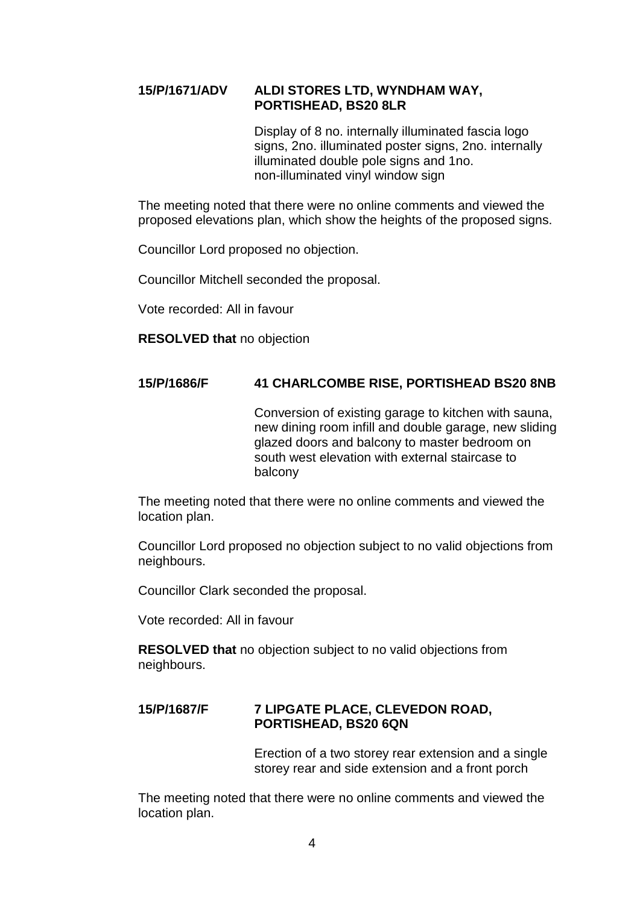## **15/P/1671/ADV ALDI STORES LTD, WYNDHAM WAY, PORTISHEAD, BS20 8LR**

Display of 8 no. internally illuminated fascia logo signs, 2no. illuminated poster signs, 2no. internally illuminated double pole signs and 1no. non-illuminated vinyl window sign

The meeting noted that there were no online comments and viewed the proposed elevations plan, which show the heights of the proposed signs.

Councillor Lord proposed no objection.

Councillor Mitchell seconded the proposal.

Vote recorded: All in favour

**RESOLVED that** no objection

## **15/P/1686/F 41 CHARLCOMBE RISE, PORTISHEAD BS20 8NB**

Conversion of existing garage to kitchen with sauna, new dining room infill and double garage, new sliding glazed doors and balcony to master bedroom on south west elevation with external staircase to balcony

The meeting noted that there were no online comments and viewed the location plan.

Councillor Lord proposed no objection subject to no valid objections from neighbours.

Councillor Clark seconded the proposal.

Vote recorded: All in favour

**RESOLVED that** no objection subject to no valid objections from neighbours.

## **15/P/1687/F 7 LIPGATE PLACE, CLEVEDON ROAD, PORTISHEAD, BS20 6QN**

Erection of a two storey rear extension and a single storey rear and side extension and a front porch

The meeting noted that there were no online comments and viewed the location plan.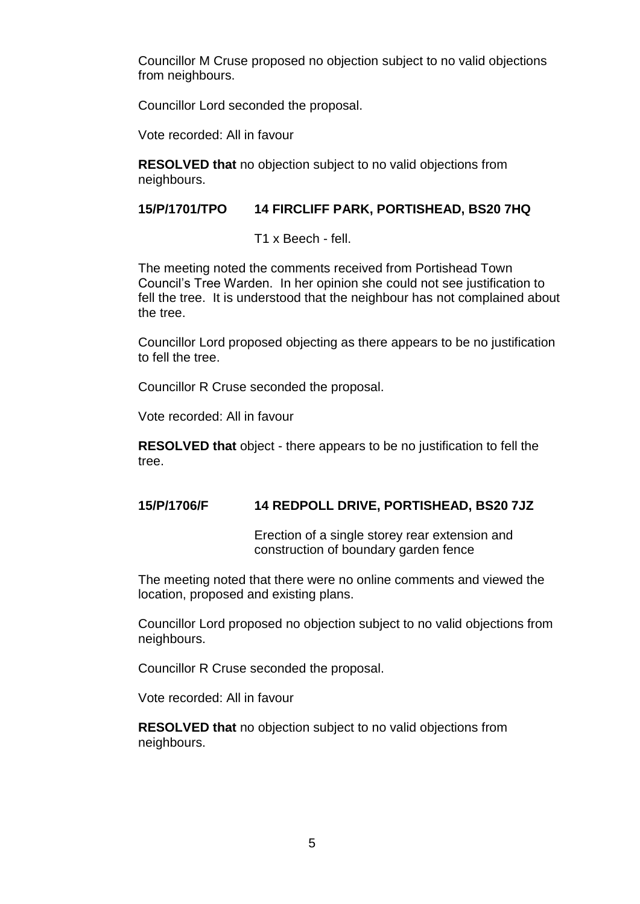Councillor M Cruse proposed no objection subject to no valid objections from neighbours.

Councillor Lord seconded the proposal.

Vote recorded: All in favour

**RESOLVED that** no objection subject to no valid objections from neighbours.

## **15/P/1701/TPO 14 FIRCLIFF PARK, PORTISHEAD, BS20 7HQ**

T1 x Beech - fell.

The meeting noted the comments received from Portishead Town Council's Tree Warden. In her opinion she could not see justification to fell the tree. It is understood that the neighbour has not complained about the tree.

Councillor Lord proposed objecting as there appears to be no justification to fell the tree.

Councillor R Cruse seconded the proposal.

Vote recorded: All in favour

**RESOLVED that** object - there appears to be no justification to fell the tree.

## **15/P/1706/F 14 REDPOLL DRIVE, PORTISHEAD, BS20 7JZ**

Erection of a single storey rear extension and construction of boundary garden fence

The meeting noted that there were no online comments and viewed the location, proposed and existing plans.

Councillor Lord proposed no objection subject to no valid objections from neighbours.

Councillor R Cruse seconded the proposal.

Vote recorded: All in favour

**RESOLVED that** no objection subject to no valid objections from neighbours.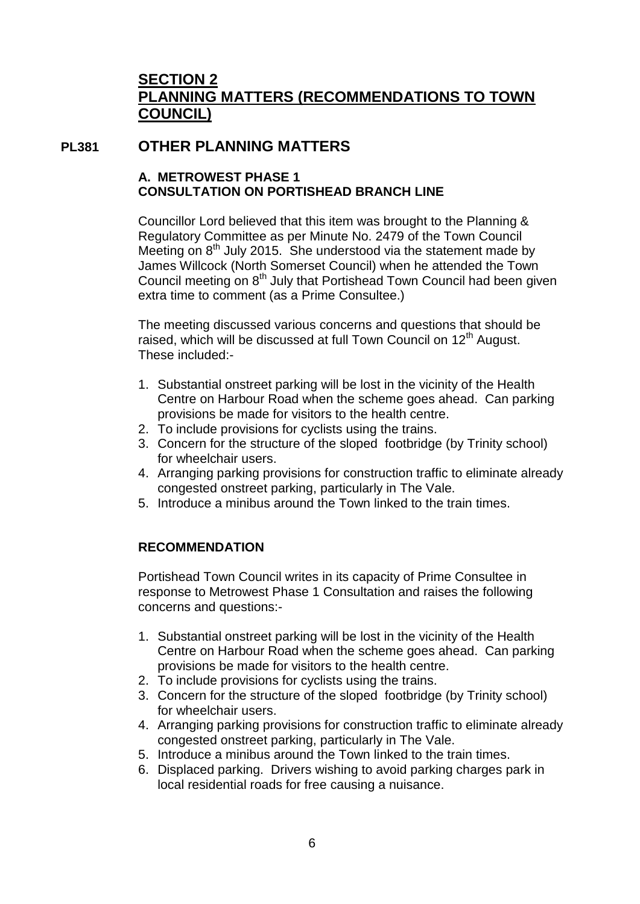# **SECTION 2 PLANNING MATTERS (RECOMMENDATIONS TO TOWN COUNCIL)**

# **PL381 OTHER PLANNING MATTERS**

# **A. METROWEST PHASE 1 CONSULTATION ON PORTISHEAD BRANCH LINE**

Councillor Lord believed that this item was brought to the Planning & Regulatory Committee as per Minute No. 2479 of the Town Council Meeting on  $8<sup>th</sup>$  July 2015. She understood via the statement made by James Willcock (North Somerset Council) when he attended the Town Council meeting on 8<sup>th</sup> July that Portishead Town Council had been given extra time to comment (as a Prime Consultee.)

The meeting discussed various concerns and questions that should be raised, which will be discussed at full Town Council on  $12<sup>th</sup>$  August. These included:-

- 1. Substantial onstreet parking will be lost in the vicinity of the Health Centre on Harbour Road when the scheme goes ahead. Can parking provisions be made for visitors to the health centre.
- 2. To include provisions for cyclists using the trains.
- 3. Concern for the structure of the sloped footbridge (by Trinity school) for wheelchair users.
- 4. Arranging parking provisions for construction traffic to eliminate already congested onstreet parking, particularly in The Vale.
- 5. Introduce a minibus around the Town linked to the train times.

# **RECOMMENDATION**

Portishead Town Council writes in its capacity of Prime Consultee in response to Metrowest Phase 1 Consultation and raises the following concerns and questions:-

- 1. Substantial onstreet parking will be lost in the vicinity of the Health Centre on Harbour Road when the scheme goes ahead. Can parking provisions be made for visitors to the health centre.
- 2. To include provisions for cyclists using the trains.
- 3. Concern for the structure of the sloped footbridge (by Trinity school) for wheelchair users.
- 4. Arranging parking provisions for construction traffic to eliminate already congested onstreet parking, particularly in The Vale.
- 5. Introduce a minibus around the Town linked to the train times.
- 6. Displaced parking. Drivers wishing to avoid parking charges park in local residential roads for free causing a nuisance.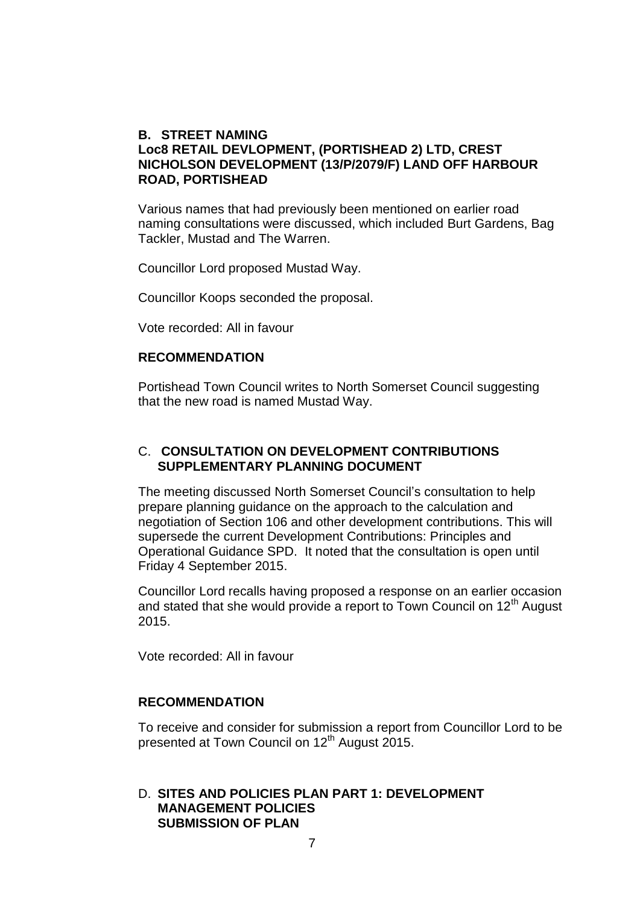## **B. STREET NAMING Loc8 RETAIL DEVLOPMENT, (PORTISHEAD 2) LTD, CREST NICHOLSON DEVELOPMENT (13/P/2079/F) LAND OFF HARBOUR ROAD, PORTISHEAD**

Various names that had previously been mentioned on earlier road naming consultations were discussed, which included Burt Gardens, Bag Tackler, Mustad and The Warren.

Councillor Lord proposed Mustad Way.

Councillor Koops seconded the proposal.

Vote recorded: All in favour

#### **RECOMMENDATION**

Portishead Town Council writes to North Somerset Council suggesting that the new road is named Mustad Way.

#### C. **CONSULTATION ON DEVELOPMENT CONTRIBUTIONS SUPPLEMENTARY PLANNING DOCUMENT**

The meeting discussed North Somerset Council's consultation to help prepare planning guidance on the approach to the calculation and negotiation of Section 106 and other development contributions. This will supersede the current Development Contributions: Principles and Operational Guidance SPD. It noted that the consultation is open until Friday 4 September 2015.

Councillor Lord recalls having proposed a response on an earlier occasion and stated that she would provide a report to Town Council on  $12<sup>th</sup>$  August 2015.

Vote recorded: All in favour

### **RECOMMENDATION**

To receive and consider for submission a report from Councillor Lord to be presented at Town Council on 12<sup>th</sup> August 2015.

### D. **SITES AND POLICIES PLAN PART 1: DEVELOPMENT MANAGEMENT POLICIES SUBMISSION OF PLAN**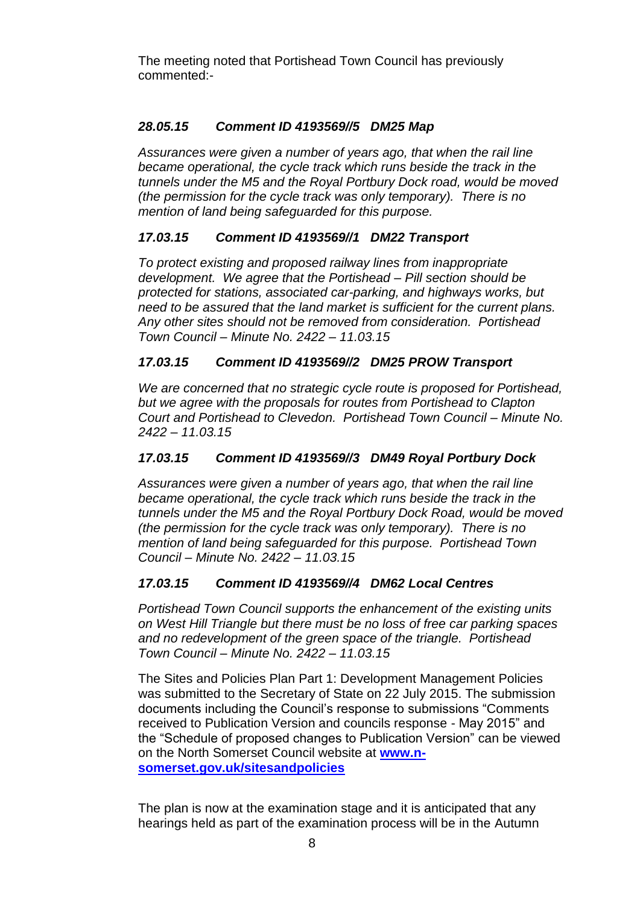The meeting noted that Portishead Town Council has previously commented:-

# *28.05.15 Comment ID 4193569//5 DM25 Map*

*Assurances were given a number of years ago, that when the rail line became operational, the cycle track which runs beside the track in the tunnels under the M5 and the Royal Portbury Dock road, would be moved (the permission for the cycle track was only temporary). There is no mention of land being safeguarded for this purpose.*

# *17.03.15 Comment ID 4193569//1 DM22 Transport*

*To protect existing and proposed railway lines from inappropriate development. We agree that the Portishead – Pill section should be protected for stations, associated car-parking, and highways works, but need to be assured that the land market is sufficient for the current plans. Any other sites should not be removed from consideration. Portishead Town Council – Minute No. 2422 – 11.03.15*

# *17.03.15 Comment ID 4193569//2 DM25 PROW Transport*

*We are concerned that no strategic cycle route is proposed for Portishead, but we agree with the proposals for routes from Portishead to Clapton Court and Portishead to Clevedon. Portishead Town Council – Minute No. 2422 – 11.03.15*

# *17.03.15 Comment ID 4193569//3 DM49 Royal Portbury Dock*

*Assurances were given a number of years ago, that when the rail line became operational, the cycle track which runs beside the track in the tunnels under the M5 and the Royal Portbury Dock Road, would be moved (the permission for the cycle track was only temporary). There is no mention of land being safeguarded for this purpose. Portishead Town Council – Minute No. 2422 – 11.03.15*

# *17.03.15 Comment ID 4193569//4 DM62 Local Centres*

*Portishead Town Council supports the enhancement of the existing units on West Hill Triangle but there must be no loss of free car parking spaces and no redevelopment of the green space of the triangle. Portishead Town Council – Minute No. 2422 – 11.03.15*

The Sites and Policies Plan Part 1: Development Management Policies was submitted to the Secretary of State on 22 July 2015. The submission documents including the Council's response to submissions "Comments received to Publication Version and councils response - May 2015" and the "Schedule of proposed changes to Publication Version" can be viewed on the North Somerset Council website at **[www.n](http://www.n-somerset.gov.uk/sitesandpolicies)[somerset.gov.uk/sitesandpolicies](http://www.n-somerset.gov.uk/sitesandpolicies)**

The plan is now at the examination stage and it is anticipated that any hearings held as part of the examination process will be in the Autumn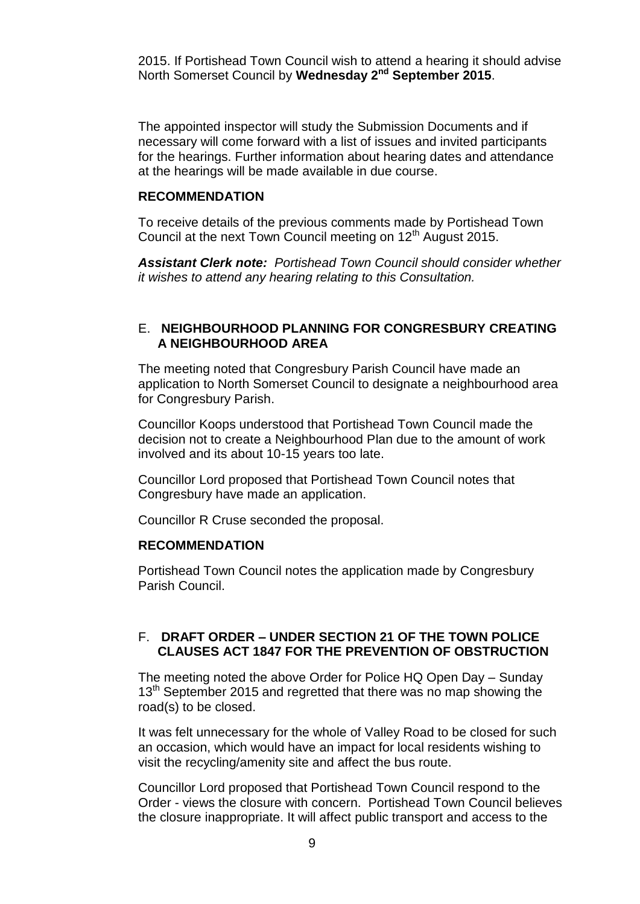2015. If Portishead Town Council wish to attend a hearing it should advise North Somerset Council by **Wednesday 2nd September 2015**.

The appointed inspector will study the Submission Documents and if necessary will come forward with a list of issues and invited participants for the hearings. Further information about hearing dates and attendance at the hearings will be made available in due course.

#### **RECOMMENDATION**

To receive details of the previous comments made by Portishead Town Council at the next Town Council meeting on 12<sup>th</sup> August 2015.

*Assistant Clerk note: Portishead Town Council should consider whether it wishes to attend any hearing relating to this Consultation.*

#### E. **NEIGHBOURHOOD PLANNING FOR CONGRESBURY CREATING A NEIGHBOURHOOD AREA**

The meeting noted that Congresbury Parish Council have made an application to North Somerset Council to designate a neighbourhood area for Congresbury Parish.

Councillor Koops understood that Portishead Town Council made the decision not to create a Neighbourhood Plan due to the amount of work involved and its about 10-15 years too late.

Councillor Lord proposed that Portishead Town Council notes that Congresbury have made an application.

Councillor R Cruse seconded the proposal.

#### **RECOMMENDATION**

Portishead Town Council notes the application made by Congresbury Parish Council.

#### F. **DRAFT ORDER – UNDER SECTION 21 OF THE TOWN POLICE CLAUSES ACT 1847 FOR THE PREVENTION OF OBSTRUCTION**

The meeting noted the above Order for Police HQ Open Day – Sunday  $13<sup>th</sup>$  September 2015 and regretted that there was no map showing the road(s) to be closed.

It was felt unnecessary for the whole of Valley Road to be closed for such an occasion, which would have an impact for local residents wishing to visit the recycling/amenity site and affect the bus route.

Councillor Lord proposed that Portishead Town Council respond to the Order - views the closure with concern. Portishead Town Council believes the closure inappropriate. It will affect public transport and access to the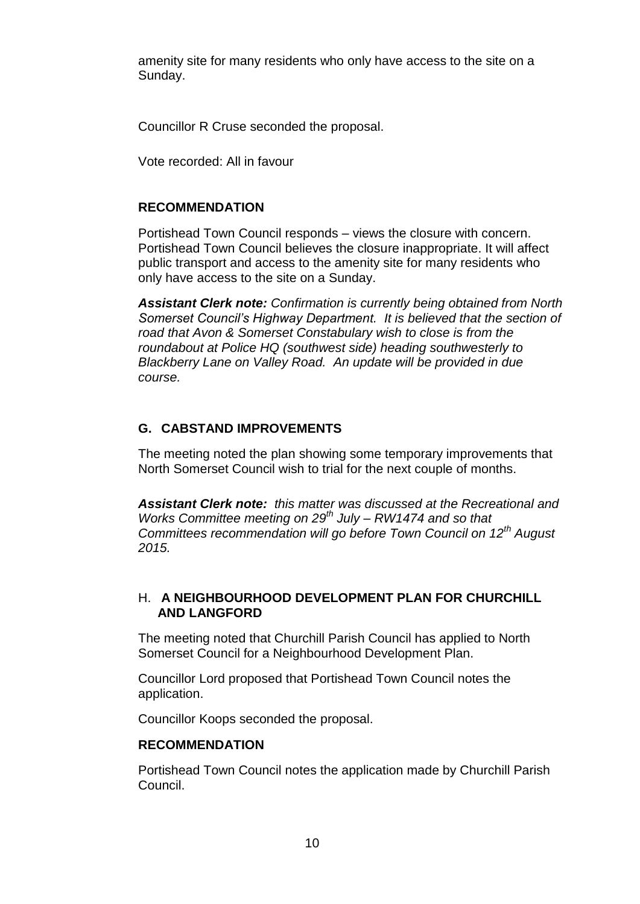amenity site for many residents who only have access to the site on a Sunday.

Councillor R Cruse seconded the proposal.

Vote recorded: All in favour

# **RECOMMENDATION**

Portishead Town Council responds – views the closure with concern. Portishead Town Council believes the closure inappropriate. It will affect public transport and access to the amenity site for many residents who only have access to the site on a Sunday.

*Assistant Clerk note: Confirmation is currently being obtained from North Somerset Council's Highway Department. It is believed that the section of road that Avon & Somerset Constabulary wish to close is from the roundabout at Police HQ (southwest side) heading southwesterly to Blackberry Lane on Valley Road. An update will be provided in due course.*

# **G. CABSTAND IMPROVEMENTS**

The meeting noted the plan showing some temporary improvements that North Somerset Council wish to trial for the next couple of months.

*Assistant Clerk note: this matter was discussed at the Recreational and Works Committee meeting on 29th July – RW1474 and so that Committees recommendation will go before Town Council on 12th August 2015.*

# H. **A NEIGHBOURHOOD DEVELOPMENT PLAN FOR CHURCHILL AND LANGFORD**

The meeting noted that Churchill Parish Council has applied to North Somerset Council for a Neighbourhood Development Plan.

Councillor Lord proposed that Portishead Town Council notes the application.

Councillor Koops seconded the proposal.

## **RECOMMENDATION**

Portishead Town Council notes the application made by Churchill Parish Council.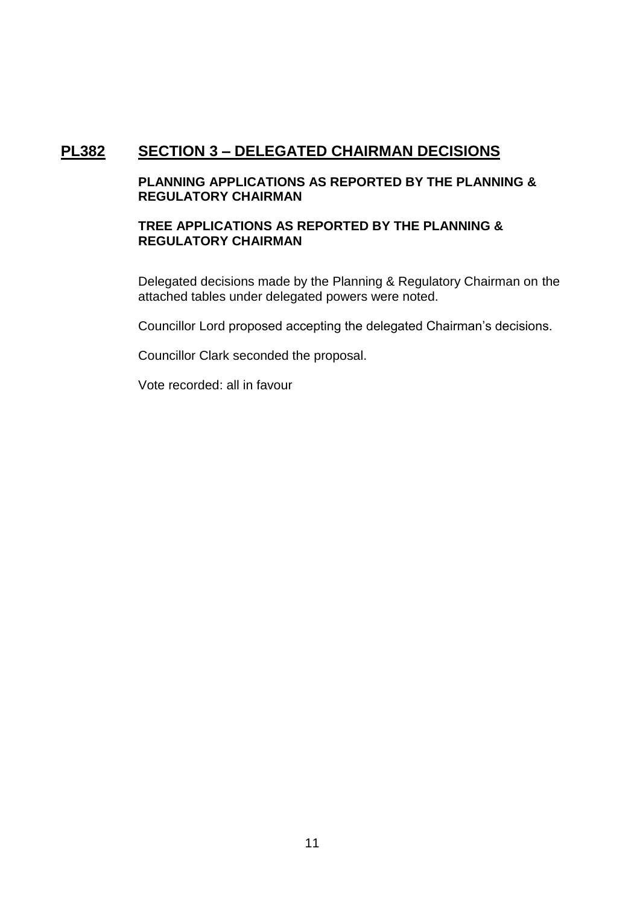# **PL382 SECTION 3 – DELEGATED CHAIRMAN DECISIONS**

# **PLANNING APPLICATIONS AS REPORTED BY THE PLANNING & REGULATORY CHAIRMAN**

## **TREE APPLICATIONS AS REPORTED BY THE PLANNING & REGULATORY CHAIRMAN**

Delegated decisions made by the Planning & Regulatory Chairman on the attached tables under delegated powers were noted.

Councillor Lord proposed accepting the delegated Chairman's decisions.

Councillor Clark seconded the proposal.

Vote recorded: all in favour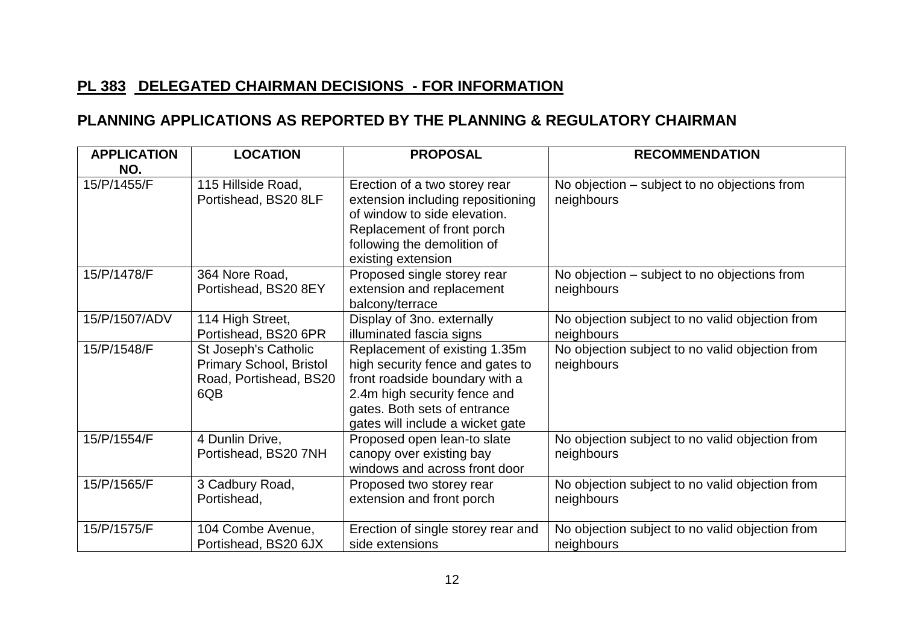# **PL 383 DELEGATED CHAIRMAN DECISIONS - FOR INFORMATION**

# **PLANNING APPLICATIONS AS REPORTED BY THE PLANNING & REGULATORY CHAIRMAN**

| <b>APPLICATION</b> | <b>LOCATION</b>                                                                  | <b>PROPOSAL</b>                                                                                                                                                                                         | <b>RECOMMENDATION</b>                                         |
|--------------------|----------------------------------------------------------------------------------|---------------------------------------------------------------------------------------------------------------------------------------------------------------------------------------------------------|---------------------------------------------------------------|
| NO.                |                                                                                  |                                                                                                                                                                                                         |                                                               |
| 15/P/1455/F        | 115 Hillside Road,<br>Portishead, BS20 8LF                                       | Erection of a two storey rear<br>extension including repositioning<br>of window to side elevation.<br>Replacement of front porch<br>following the demolition of<br>existing extension                   | No objection – subject to no objections from<br>neighbours    |
| 15/P/1478/F        | 364 Nore Road,<br>Portishead, BS20 8EY                                           | Proposed single storey rear<br>extension and replacement<br>balcony/terrace                                                                                                                             | No objection – subject to no objections from<br>neighbours    |
| 15/P/1507/ADV      | 114 High Street,<br>Portishead, BS20 6PR                                         | Display of 3no. externally<br>illuminated fascia signs                                                                                                                                                  | No objection subject to no valid objection from<br>neighbours |
| 15/P/1548/F        | St Joseph's Catholic<br>Primary School, Bristol<br>Road, Portishead, BS20<br>6QB | Replacement of existing 1.35m<br>high security fence and gates to<br>front roadside boundary with a<br>2.4m high security fence and<br>gates. Both sets of entrance<br>gates will include a wicket gate | No objection subject to no valid objection from<br>neighbours |
| 15/P/1554/F        | 4 Dunlin Drive,<br>Portishead, BS20 7NH                                          | Proposed open lean-to slate<br>canopy over existing bay<br>windows and across front door                                                                                                                | No objection subject to no valid objection from<br>neighbours |
| 15/P/1565/F        | 3 Cadbury Road,<br>Portishead,                                                   | Proposed two storey rear<br>extension and front porch                                                                                                                                                   | No objection subject to no valid objection from<br>neighbours |
| 15/P/1575/F        | 104 Combe Avenue,<br>Portishead, BS20 6JX                                        | Erection of single storey rear and<br>side extensions                                                                                                                                                   | No objection subject to no valid objection from<br>neighbours |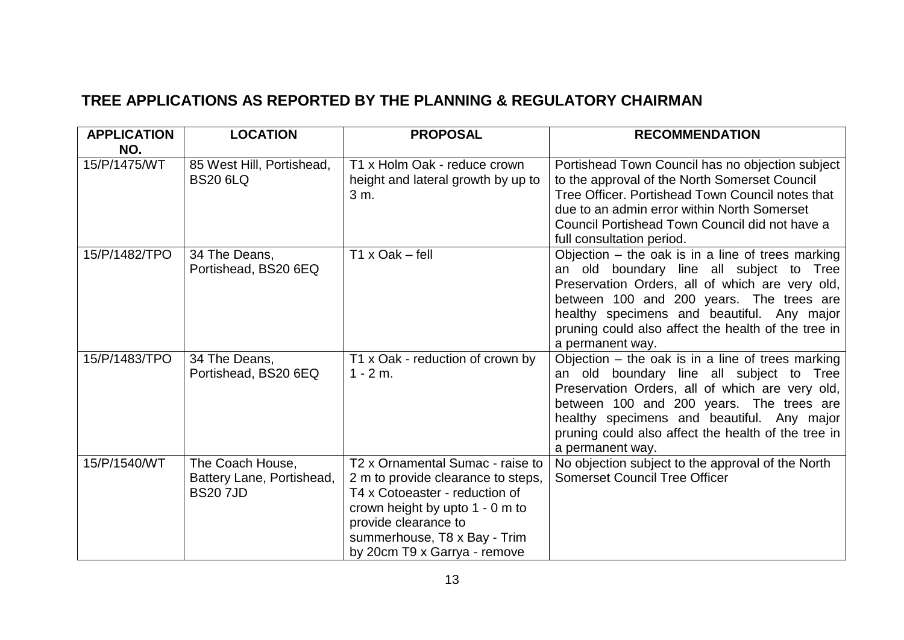# **TREE APPLICATIONS AS REPORTED BY THE PLANNING & REGULATORY CHAIRMAN**

| <b>APPLICATION</b><br>NO. | <b>LOCATION</b>                                                 | <b>PROPOSAL</b>                                                                                                                                                                                                                     | <b>RECOMMENDATION</b>                                                                                                                                                                                                                                                                                                   |
|---------------------------|-----------------------------------------------------------------|-------------------------------------------------------------------------------------------------------------------------------------------------------------------------------------------------------------------------------------|-------------------------------------------------------------------------------------------------------------------------------------------------------------------------------------------------------------------------------------------------------------------------------------------------------------------------|
| 15/P/1475/WT              | 85 West Hill, Portishead,<br><b>BS20 6LQ</b>                    | T1 x Holm Oak - reduce crown<br>height and lateral growth by up to<br>3 m.                                                                                                                                                          | Portishead Town Council has no objection subject<br>to the approval of the North Somerset Council<br>Tree Officer, Portishead Town Council notes that<br>due to an admin error within North Somerset<br>Council Portishead Town Council did not have a<br>full consultation period.                                     |
| 15/P/1482/TPO             | 34 The Deans,<br>Portishead, BS20 6EQ                           | $T1 \times Oak - fell$                                                                                                                                                                                                              | Objection $-$ the oak is in a line of trees marking<br>an old boundary line all subject to Tree<br>Preservation Orders, all of which are very old,<br>between 100 and 200 years. The trees are<br>healthy specimens and beautiful. Any major<br>pruning could also affect the health of the tree in<br>a permanent way. |
| 15/P/1483/TPO             | 34 The Deans,<br>Portishead, BS20 6EQ                           | T1 x Oak - reduction of crown by<br>$1 - 2m$ .                                                                                                                                                                                      | Objection $-$ the oak is in a line of trees marking<br>an old boundary line all subject to Tree<br>Preservation Orders, all of which are very old,<br>between 100 and 200 years. The trees are<br>healthy specimens and beautiful. Any major<br>pruning could also affect the health of the tree in<br>a permanent way. |
| 15/P/1540/WT              | The Coach House,<br>Battery Lane, Portishead,<br><b>BS207JD</b> | T2 x Ornamental Sumac - raise to<br>2 m to provide clearance to steps,<br>T4 x Cotoeaster - reduction of<br>crown height by upto 1 - 0 m to<br>provide clearance to<br>summerhouse, T8 x Bay - Trim<br>by 20cm T9 x Garrya - remove | No objection subject to the approval of the North<br><b>Somerset Council Tree Officer</b>                                                                                                                                                                                                                               |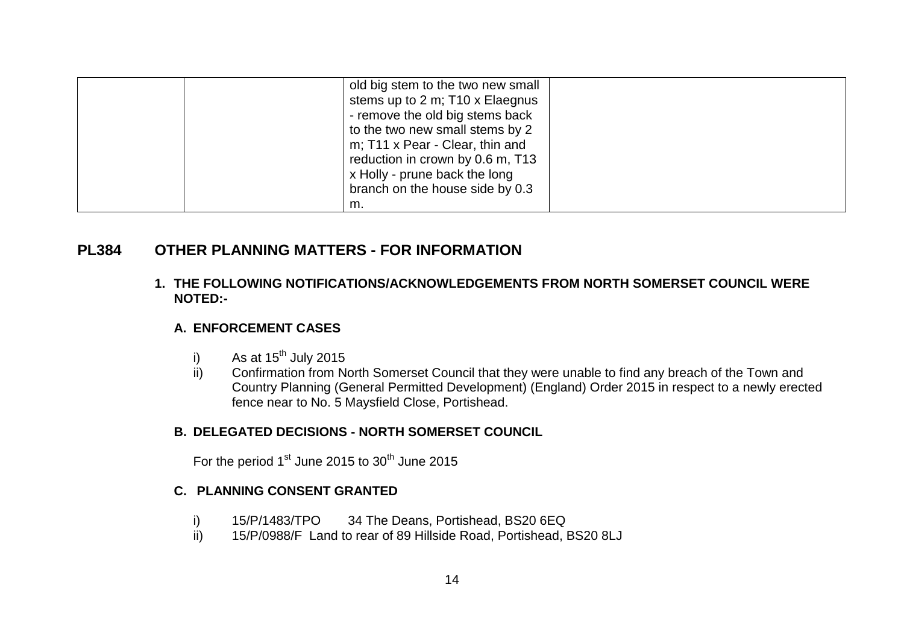|  | old big stem to the two new small |  |
|--|-----------------------------------|--|
|  | stems up to 2 m; T10 x Elaegnus   |  |
|  | - remove the old big stems back   |  |
|  | to the two new small stems by 2   |  |
|  | m; T11 x Pear - Clear, thin and   |  |
|  | reduction in crown by 0.6 m, T13  |  |
|  | x Holly - prune back the long     |  |
|  | branch on the house side by 0.3   |  |
|  | m.                                |  |

# **PL384 OTHER PLANNING MATTERS - FOR INFORMATION**

**1. THE FOLLOWING NOTIFICATIONS/ACKNOWLEDGEMENTS FROM NORTH SOMERSET COUNCIL WERE NOTED:-**

## **A. ENFORCEMENT CASES**

- i) As at  $15^{th}$  July 2015<br>ii) Confirmation from N
- Confirmation from North Somerset Council that they were unable to find any breach of the Town and Country Planning (General Permitted Development) (England) Order 2015 in respect to a newly erected fence near to No. 5 Maysfield Close, Portishead.

## **B. DELEGATED DECISIONS - NORTH SOMERSET COUNCIL**

For the period 1<sup>st</sup> June 2015 to 30<sup>th</sup> June 2015

## **C. PLANNING CONSENT GRANTED**

- i) 15/P/1483/TPO 34 The Deans, Portishead, BS20 6EQ<br>ii) 15/P/0988/F Land to rear of 89 Hillside Road, Portishead,
- 15/P/0988/F Land to rear of 89 Hillside Road, Portishead, BS20 8LJ